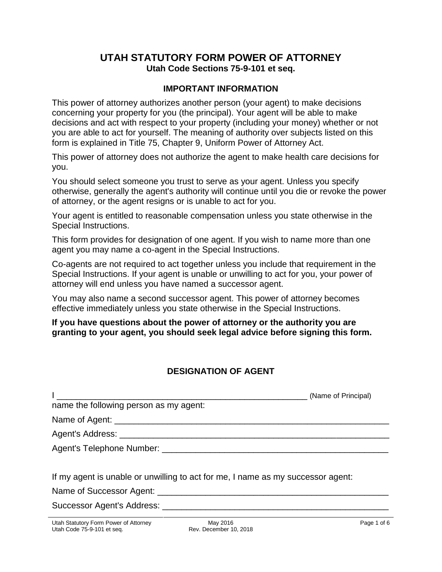## **UTAH STATUTORY FORM POWER OF ATTORNEY Utah Code Sections 75-9-101 et seq.**

#### **IMPORTANT INFORMATION**

This power of attorney authorizes another person (your agent) to make decisions concerning your property for you (the principal). Your agent will be able to make decisions and act with respect to your property (including your money) whether or not you are able to act for yourself. The meaning of authority over subjects listed on this form is explained in Title 75, Chapter 9, Uniform Power of Attorney Act.

This power of attorney does not authorize the agent to make health care decisions for you.

You should select someone you trust to serve as your agent. Unless you specify otherwise, generally the agent's authority will continue until you die or revoke the power of attorney, or the agent resigns or is unable to act for you.

Your agent is entitled to reasonable compensation unless you state otherwise in the Special Instructions.

This form provides for designation of one agent. If you wish to name more than one agent you may name a co-agent in the Special Instructions.

Co-agents are not required to act together unless you include that requirement in the Special Instructions. If your agent is unable or unwilling to act for you, your power of attorney will end unless you have named a successor agent.

You may also name a second successor agent. This power of attorney becomes effective immediately unless you state otherwise in the Special Instructions.

**If you have questions about the power of attorney or the authority you are granting to your agent, you should seek legal advice before signing this form.** 

## **DESIGNATION OF AGENT**

|                                                                                 | (Name of Principal) |
|---------------------------------------------------------------------------------|---------------------|
| name the following person as my agent:                                          |                     |
|                                                                                 |                     |
|                                                                                 |                     |
|                                                                                 |                     |
| If my agent is unable or unwilling to act for me, I name as my successor agent: |                     |
|                                                                                 |                     |
|                                                                                 |                     |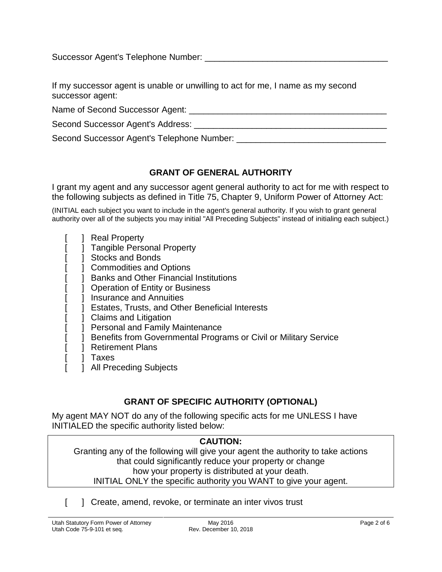Successor Agent's Telephone Number: \_\_\_\_\_\_\_\_\_\_\_\_\_\_\_\_\_\_\_\_\_\_\_\_\_\_\_\_\_\_\_\_\_\_\_\_\_\_

If my successor agent is unable or unwilling to act for me, I name as my second successor agent:

Name of Second Successor Agent:  $\blacksquare$ 

Second Successor Agent's Address: \_\_\_\_\_\_\_\_\_\_\_\_\_\_\_\_\_\_\_\_\_\_\_\_\_\_\_\_\_\_\_\_\_\_\_\_\_\_\_\_

Second Successor Agent's Telephone Number: \_\_\_\_\_\_\_\_\_\_\_\_\_\_\_\_\_\_\_\_\_\_\_\_\_\_\_\_\_\_\_

# **GRANT OF GENERAL AUTHORITY**

I grant my agent and any successor agent general authority to act for me with respect to the following subjects as defined in Title 75, Chapter 9, Uniform Power of Attorney Act:

(INITIAL each subject you want to include in the agent's general authority. If you wish to grant general authority over all of the subjects you may initial "All Preceding Subjects" instead of initialing each subject.)

- [ ] Real Property
- [ ] Tangible Personal Property
- [ ] Stocks and Bonds
- [ ] Commodities and Options
- [ ] Banks and Other Financial Institutions
- [ ] Operation of Entity or Business
- [ ] Insurance and Annuities
- 1 Estates, Trusts, and Other Beneficial Interests
- [ ] Claims and Litigation
- [ ] Personal and Family Maintenance
- [ ] Benefits from Governmental Programs or Civil or Military Service
- [ ] Retirement Plans
- [ ] Taxes
- [ ] All Preceding Subjects

## **GRANT OF SPECIFIC AUTHORITY (OPTIONAL)**

My agent MAY NOT do any of the following specific acts for me UNLESS I have INITIALED the specific authority listed below:

#### **CAUTION:**

Granting any of the following will give your agent the authority to take actions that could significantly reduce your property or change how your property is distributed at your death. INITIAL ONLY the specific authority you WANT to give your agent.

[ ] Create, amend, revoke, or terminate an inter vivos trust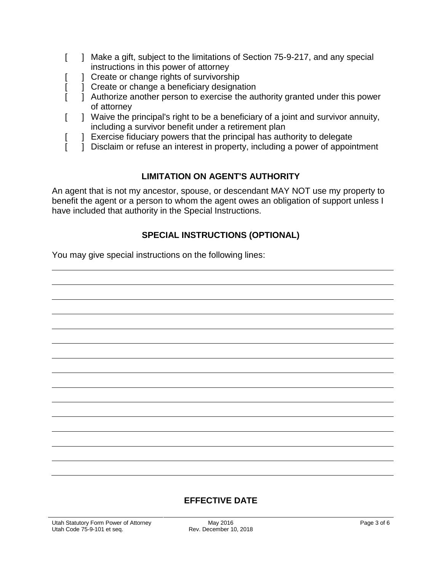- [ ] Make a gift, subject to the limitations of Section 75-9-217, and any special instructions in this power of attorney
- [ ] Create or change rights of survivorship
- [ ] Create or change a beneficiary designation
- [  $\Box$ ] Authorize another person to exercise the authority granted under this power of attorney
- [ ] Waive the principal's right to be a beneficiary of a joint and survivor annuity, including a survivor benefit under a retirement plan
- [ ] Exercise fiduciary powers that the principal has authority to delegate
- [ ] Disclaim or refuse an interest in property, including a power of appointment

#### **LIMITATION ON AGENT'S AUTHORITY**

An agent that is not my ancestor, spouse, or descendant MAY NOT use my property to benefit the agent or a person to whom the agent owes an obligation of support unless I have included that authority in the Special Instructions.

#### **SPECIAL INSTRUCTIONS (OPTIONAL)**

You may give special instructions on the following lines:

#### **EFFECTIVE DATE**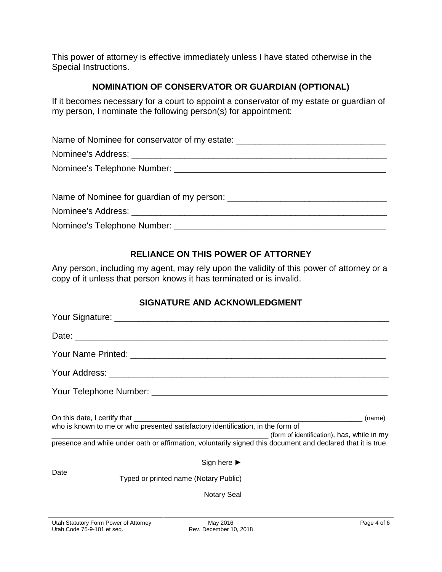This power of attorney is effective immediately unless I have stated otherwise in the Special Instructions.

#### **NOMINATION OF CONSERVATOR OR GUARDIAN (OPTIONAL)**

If it becomes necessary for a court to appoint a conservator of my estate or guardian of my person, I nominate the following person(s) for appointment:

| Name of Nominee for conservator of my estate: __________________________________ |
|----------------------------------------------------------------------------------|
|                                                                                  |
|                                                                                  |
|                                                                                  |
|                                                                                  |
|                                                                                  |
|                                                                                  |

### **RELIANCE ON THIS POWER OF ATTORNEY**

Any person, including my agent, may rely upon the validity of this power of attorney or a copy of it unless that person knows it has terminated or is invalid.

#### **SIGNATURE AND ACKNOWLEDGMENT**

| (name)<br>who is known to me or who presented satisfactory identification, in the form of<br>(form of identification), has, while in my<br><u> 2000 - Jan James James James James James James James James James James James James James James James James J</u><br>presence and while under oath or affirmation, voluntarily signed this document and declared that it is true. |
|---------------------------------------------------------------------------------------------------------------------------------------------------------------------------------------------------------------------------------------------------------------------------------------------------------------------------------------------------------------------------------|
| Sign here $\blacktriangleright$                                                                                                                                                                                                                                                                                                                                                 |
| Date                                                                                                                                                                                                                                                                                                                                                                            |
| <b>Notary Seal</b>                                                                                                                                                                                                                                                                                                                                                              |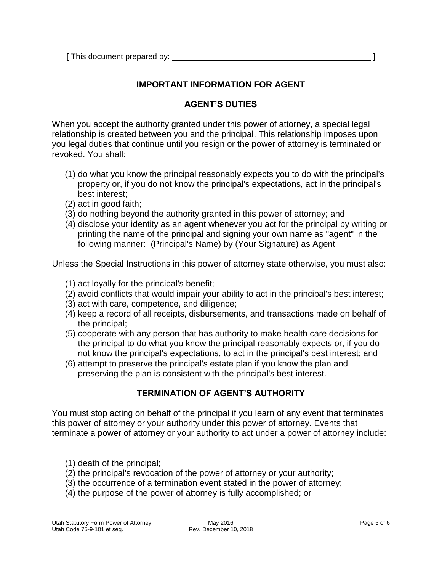[ This document prepared by: \_\_\_\_\_\_\_\_\_\_\_\_\_\_\_\_\_\_\_\_\_\_\_\_\_\_\_\_\_\_\_\_\_\_\_\_\_\_\_\_\_\_\_\_\_ ]

### **IMPORTANT INFORMATION FOR AGENT**

## **AGENT'S DUTIES**

When you accept the authority granted under this power of attorney, a special legal relationship is created between you and the principal. This relationship imposes upon you legal duties that continue until you resign or the power of attorney is terminated or revoked. You shall:

- (1) do what you know the principal reasonably expects you to do with the principal's property or, if you do not know the principal's expectations, act in the principal's best interest;
- (2) act in good faith;
- (3) do nothing beyond the authority granted in this power of attorney; and
- (4) disclose your identity as an agent whenever you act for the principal by writing or printing the name of the principal and signing your own name as "agent" in the following manner: (Principal's Name) by (Your Signature) as Agent

Unless the Special Instructions in this power of attorney state otherwise, you must also:

- (1) act loyally for the principal's benefit;
- (2) avoid conflicts that would impair your ability to act in the principal's best interest;
- (3) act with care, competence, and diligence;
- (4) keep a record of all receipts, disbursements, and transactions made on behalf of the principal;
- (5) cooperate with any person that has authority to make health care decisions for the principal to do what you know the principal reasonably expects or, if you do not know the principal's expectations, to act in the principal's best interest; and
- (6) attempt to preserve the principal's estate plan if you know the plan and preserving the plan is consistent with the principal's best interest.

## **TERMINATION OF AGENT'S AUTHORITY**

You must stop acting on behalf of the principal if you learn of any event that terminates this power of attorney or your authority under this power of attorney. Events that terminate a power of attorney or your authority to act under a power of attorney include:

- (1) death of the principal;
- (2) the principal's revocation of the power of attorney or your authority;
- (3) the occurrence of a termination event stated in the power of attorney;
- (4) the purpose of the power of attorney is fully accomplished; or